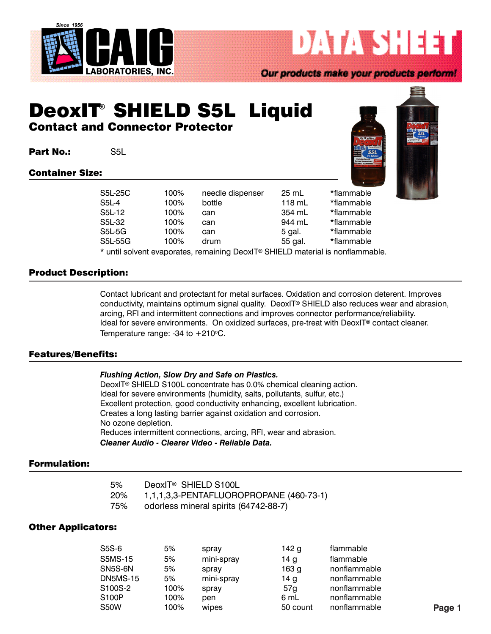

Our products make your products perform!

**DATA SHEET** 

# DeoxIT<sup>®</sup> SHIELD S5L Liquid Contact and Connector Protector

Part No.: S5L

#### Container Size:



| S5L-25C | 100% | needle dispenser                                                           | 25 mL   | *flammable |
|---------|------|----------------------------------------------------------------------------|---------|------------|
| S5L-4   | 100% | bottle                                                                     | 118 mL  | *flammable |
| S5L-12  | 100% | can                                                                        | 354 mL  | *flammable |
| S5L-32  | 100% | can                                                                        | 944 mL  | *flammable |
| S5L-5G  | 100% | can                                                                        | 5 gal.  | *flammable |
| S5L-55G | 100% | drum                                                                       | 55 gal. | *flammable |
|         |      | t until colugnt quanqrates, remaining DeaulT® CHIELD meterial is nonflemme |         |            |

\* until solvent evaporates, remaining DeoxIT® SHIELD material is nonflammable.

### Product Description:

Contact lubricant and protectant for metal surfaces. Oxidation and corrosion deterent. Improves conductivity, maintains optimum signal quality. DeoxIT® SHIELD also reduces wear and abrasion, arcing, RFI and intermittent connections and improves connector performance/reliability. Ideal for severe environments. On oxidized surfaces, pre-treat with DeoxIT® contact cleaner. Temperature range: -34 to  $+210^{\circ}$ C.

#### Features/Benefits:

| Flushing Action, Slow Dry and Safe on Plastics. |  |  |  |  |
|-------------------------------------------------|--|--|--|--|
|                                                 |  |  |  |  |

DeoxIT<sup>®</sup> SHIELD S100L concentrate has 0.0% chemical cleaning action. Ideal for severe environments (humidity, salts, pollutants, sulfur, etc.) Excellent protection, good conductivity enhancing, excellent lubrication. Creates a long lasting barrier against oxidation and corrosion. No ozone depletion. Reduces intermittent connections, arcing, RFI, wear and abrasion. *Cleaner Audio - Clearer Video - Reliable Data.*

#### Formulation:

| 5%  | DeoxIT <sup>®</sup> SHIELD S100L        |
|-----|-----------------------------------------|
| 20% | 1,1,1,3,3-PENTAFLUOROPROPANE (460-73-1) |
| 75% | odorless mineral spirits (64742-88-7)   |

#### Other Applicators:

| S5S-6           | 5%   | spray      | 142 <sub>g</sub> | flammable    |        |
|-----------------|------|------------|------------------|--------------|--------|
| S5MS-15         | 5%   | mini-spray | 14 g             | flammable    |        |
| SN5S-6N         | 5%   | spray      | 163 <sub>g</sub> | nonflammable |        |
| <b>DN5MS-15</b> | 5%   | mini-spray | 14 <sub>g</sub>  | nonflammable |        |
| S100S-2         | 100% | spray      | 57g              | nonflammable |        |
| S100P           | 100% | pen        | 6 mL             | nonflammable |        |
| S50W            | 100% | wipes      | 50 count         | nonflammable | Page 1 |